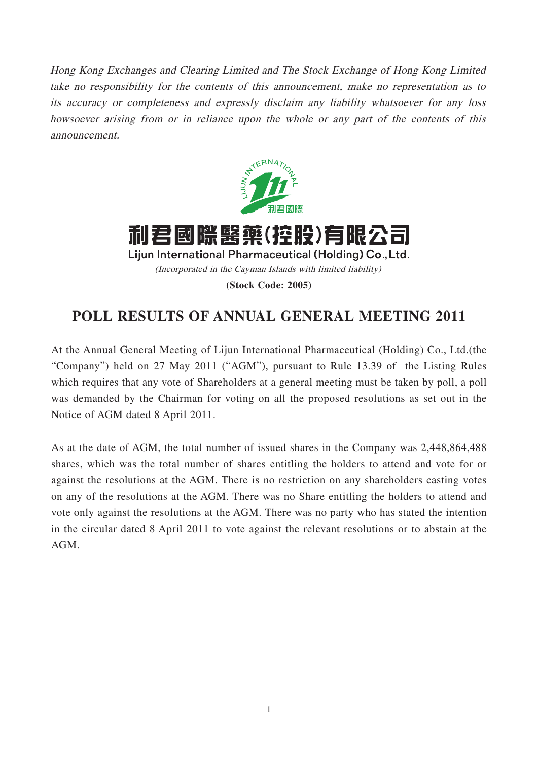Hong Kong Exchanges and Clearing Limited and The Stock Exchange of Hong Kong Limited take no responsibility for the contents of this announcement, make no representation as to its accuracy or completeness and expressly disclaim any liability whatsoever for any loss howsoever arising from or in reliance upon the whole or any part of the contents of this announcement.



利君國際醫藥(控股)有限公司 Lijun International Pharmaceutical (Holding) Co., Ltd. (Incorporated in the Cayman Islands with limited liability) **(Stock Code: 2005)**

## **POLL RESULTS OF ANNUAL GENERAL MEETING 2011**

At the Annual General Meeting of Lijun International Pharmaceutical (Holding) Co., Ltd.(the "Company") held on 27 May 2011 ("AGM"), pursuant to Rule 13.39 of the Listing Rules which requires that any vote of Shareholders at a general meeting must be taken by poll, a poll was demanded by the Chairman for voting on all the proposed resolutions as set out in the Notice of AGM dated 8 April 2011.

As at the date of AGM, the total number of issued shares in the Company was 2,448,864,488 shares, which was the total number of shares entitling the holders to attend and vote for or against the resolutions at the AGM. There is no restriction on any shareholders casting votes on any of the resolutions at the AGM. There was no Share entitling the holders to attend and vote only against the resolutions at the AGM. There was no party who has stated the intention in the circular dated 8 April 2011 to vote against the relevant resolutions or to abstain at the AGM.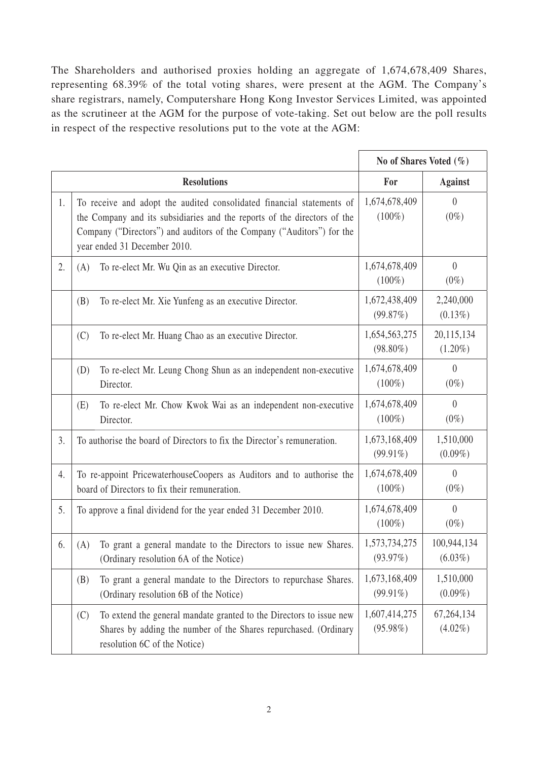The Shareholders and authorised proxies holding an aggregate of 1,674,678,409 Shares, representing 68.39% of the total voting shares, were present at the AGM. The Company's share registrars, namely, Computershare Hong Kong Investor Services Limited, was appointed as the scrutineer at the AGM for the purpose of vote-taking. Set out below are the poll results in respect of the respective resolutions put to the vote at the AGM:

|    |                                                                                                                                                                                                                                                             | No of Shares Voted $(\%)$    |                             |
|----|-------------------------------------------------------------------------------------------------------------------------------------------------------------------------------------------------------------------------------------------------------------|------------------------------|-----------------------------|
|    | <b>Resolutions</b>                                                                                                                                                                                                                                          | For                          | <b>Against</b>              |
| 1. | To receive and adopt the audited consolidated financial statements of<br>the Company and its subsidiaries and the reports of the directors of the<br>Company ("Directors") and auditors of the Company ("Auditors") for the<br>year ended 31 December 2010. | 1,674,678,409<br>$(100\%)$   | $\overline{0}$<br>$(0\%)$   |
| 2. | To re-elect Mr. Wu Qin as an executive Director.<br>(A)                                                                                                                                                                                                     | 1,674,678,409<br>$(100\%)$   | $\overline{0}$<br>$(0\%)$   |
|    | To re-elect Mr. Xie Yunfeng as an executive Director.<br>(B)                                                                                                                                                                                                | 1,672,438,409<br>(99.87%)    | 2,240,000<br>$(0.13\%)$     |
|    | (C)<br>To re-elect Mr. Huang Chao as an executive Director.                                                                                                                                                                                                 | 1,654,563,275<br>$(98.80\%)$ | 20,115,134<br>$(1.20\%)$    |
|    | To re-elect Mr. Leung Chong Shun as an independent non-executive<br>(D)<br>Director.                                                                                                                                                                        | 1,674,678,409<br>$(100\%)$   | $\boldsymbol{0}$<br>$(0\%)$ |
|    | (E)<br>To re-elect Mr. Chow Kwok Wai as an independent non-executive<br>Director.                                                                                                                                                                           | 1,674,678,409<br>$(100\%)$   | $\theta$<br>$(0\%)$         |
| 3. | To authorise the board of Directors to fix the Director's remuneration.                                                                                                                                                                                     | 1,673,168,409<br>$(99.91\%)$ | 1,510,000<br>$(0.09\%)$     |
| 4. | To re-appoint PricewaterhouseCoopers as Auditors and to authorise the<br>board of Directors to fix their remuneration.                                                                                                                                      | 1,674,678,409<br>$(100\%)$   | $\overline{0}$<br>$(0\%)$   |
| 5. | To approve a final dividend for the year ended 31 December 2010.                                                                                                                                                                                            | 1,674,678,409<br>$(100\%)$   | $\theta$<br>$(0\%)$         |
| 6. | To grant a general mandate to the Directors to issue new Shares.<br>(A)<br>(Ordinary resolution 6A of the Notice)                                                                                                                                           | 1,573,734,275<br>(93.97%)    | 100,944,134<br>$(6.03\%)$   |
|    | To grant a general mandate to the Directors to repurchase Shares.<br>(B)<br>(Ordinary resolution 6B of the Notice)                                                                                                                                          | 1,673,168,409<br>$(99.91\%)$ | 1,510,000<br>$(0.09\%)$     |
|    | To extend the general mandate granted to the Directors to issue new<br>(C)<br>Shares by adding the number of the Shares repurchased. (Ordinary<br>resolution 6C of the Notice)                                                                              | 1,607,414,275<br>$(95.98\%)$ | 67,264,134<br>$(4.02\%)$    |